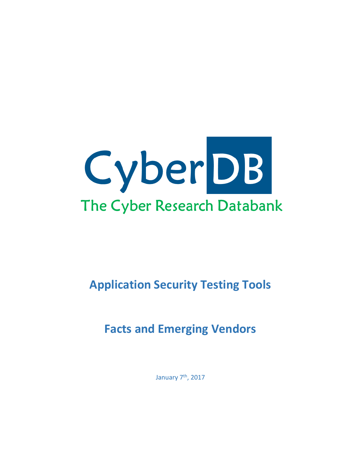

# **Application Security Testing Tools**

# **Facts and Emerging Vendors**

January 7<sup>th</sup>, 2017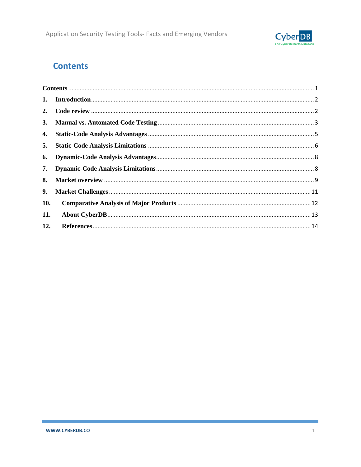

## <span id="page-1-0"></span>**Contents**

| 1.         |  |  |  |  |
|------------|--|--|--|--|
| 2.         |  |  |  |  |
|            |  |  |  |  |
| 4.         |  |  |  |  |
| 5.         |  |  |  |  |
| 6.         |  |  |  |  |
| 7.         |  |  |  |  |
| 8.         |  |  |  |  |
| 9.         |  |  |  |  |
| <b>10.</b> |  |  |  |  |
| 11.        |  |  |  |  |
| 12.        |  |  |  |  |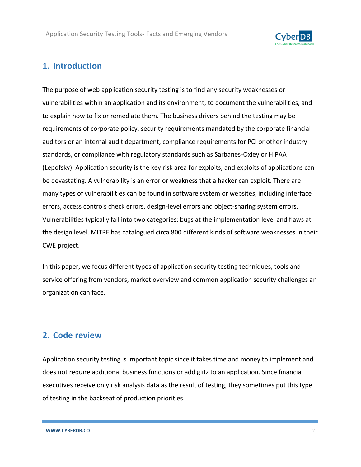

#### <span id="page-2-0"></span>**1. Introduction**

The purpose of web application security testing is to find any security weaknesses or vulnerabilities within an application and its environment, to document the vulnerabilities, and to explain how to fix or remediate them. The business drivers behind the testing may be requirements of corporate policy, security requirements mandated by the corporate financial auditors or an internal audit department, compliance requirements for PCI or other industry standards, or compliance with regulatory standards such as Sarbanes-Oxley or HIPAA (Lepofsky). Application security is the key risk area for exploits, and exploits of applications can be devastating. A vulnerability is an error or weakness that a hacker can exploit. There are many types of vulnerabilities can be found in software system or websites, including interface errors, access controls check errors, design-level errors and object-sharing system errors. Vulnerabilities typically fall into two categories: bugs at the implementation level and flaws at the design level. MITRE has catalogued circa 800 different kinds of software weaknesses in their CWE project.

In this paper, we focus different types of application security testing techniques, tools and service offering from vendors, market overview and common application security challenges an organization can face.

#### <span id="page-2-1"></span>**2. Code review**

Application security testing is important topic since it takes time and money to implement and does not require additional business functions or add glitz to an application. Since financial executives receive only risk analysis data as the result of testing, they sometimes put this type of testing in the backseat of production priorities.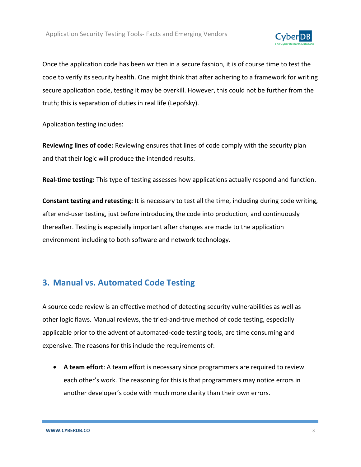

Once the application code has been written in a secure fashion, it is of course time to test the code to verify its security health. One might think that after adhering to a framework for writing secure application code, testing it may be overkill. However, this could not be further from the truth; this is separation of duties in real life (Lepofsky).

Application testing includes:

**Reviewing lines of code:** Reviewing ensures that lines of code comply with the security plan and that their logic will produce the intended results.

**Real-time testing:** This type of testing assesses how applications actually respond and function.

**Constant testing and retesting:** It is necessary to test all the time, including during code writing, after end-user testing, just before introducing the code into production, and continuously thereafter. Testing is especially important after changes are made to the application environment including to both software and network technology.

## <span id="page-3-0"></span>**3. Manual vs. Automated Code Testing**

A source code review is an effective method of detecting security vulnerabilities as well as other logic flaws. Manual reviews, the tried-and-true method of code testing, especially applicable prior to the advent of automated-code testing tools, are time consuming and expensive. The reasons for this include the requirements of:

 **A team effort**: A team effort is necessary since programmers are required to review each other's work. The reasoning for this is that programmers may notice errors in another developer's code with much more clarity than their own errors.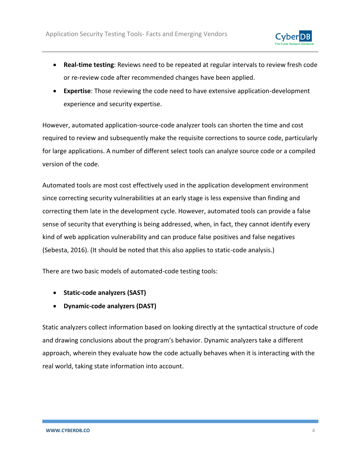

- **Real-time testing**: Reviews need to be repeated at regular intervals to review fresh code or re-review code after recommended changes have been applied.
- **Expertise**: Those reviewing the code need to have extensive application-development experience and security expertise.

However, automated application-source-code analyzer tools can shorten the time and cost required to review and subsequently make the requisite corrections to source code, particularly for large applications. A number of different select tools can analyze source code or a compiled version of the code.

Automated tools are most cost effectively used in the application development environment since correcting security vulnerabilities at an early stage is less expensive than finding and correcting them late in the development cycle. However, automated tools can provide a false sense of security that everything is being addressed, when, in fact, they cannot identify every kind of web application vulnerability and can produce false positives and false negatives (Sebesta, 2016). (It should be noted that this also applies to static-code analysis.)

There are two basic models of automated-code testing tools:

- **Static-code analyzers (SAST)**
- **Dynamic-code analyzers (DAST)**

Static analyzers collect information based on looking directly at the syntactical structure of code and drawing conclusions about the program's behavior. Dynamic analyzers take a different approach, wherein they evaluate how the code actually behaves when it is interacting with the real world, taking state information into account.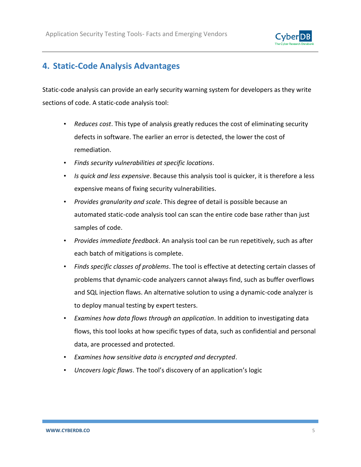

#### <span id="page-5-0"></span>**4. Static-Code Analysis Advantages**

Static-code analysis can provide an early security warning system for developers as they write sections of code. A static-code analysis tool:

- *Reduces cost*. This type of analysis greatly reduces the cost of eliminating security defects in software. The earlier an error is detected, the lower the cost of remediation.
- *Finds security vulnerabilities at specific locations*.
- *Is quick and less expensive*. Because this analysis tool is quicker, it is therefore a less expensive means of fixing security vulnerabilities.
- *Provides granularity and scale*. This degree of detail is possible because an automated static-code analysis tool can scan the entire code base rather than just samples of code.
- *Provides immediate feedback*. An analysis tool can be run repetitively, such as after each batch of mitigations is complete.
- *Finds specific classes of problems*. The tool is effective at detecting certain classes of problems that dynamic-code analyzers cannot always find, such as buffer overflows and SQL injection flaws. An alternative solution to using a dynamic-code analyzer is to deploy manual testing by expert testers.
- *Examines how data flows through an application*. In addition to investigating data flows, this tool looks at how specific types of data, such as confidential and personal data, are processed and protected.
- *Examines how sensitive data is encrypted and decrypted*.
- *Uncovers logic flaws*. The tool's discovery of an application's logic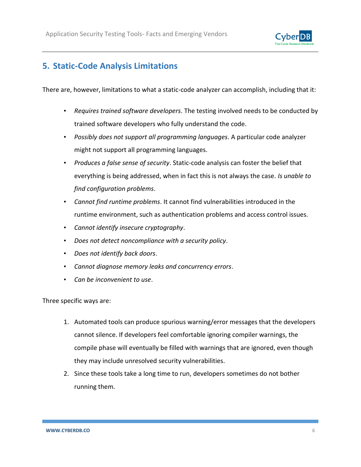

### <span id="page-6-0"></span>**5. Static-Code Analysis Limitations**

There are, however, limitations to what a static-code analyzer can accomplish, including that it:

- *Requires trained software developers*. The testing involved needs to be conducted by trained software developers who fully understand the code.
- *Possibly does not support all programming languages*. A particular code analyzer might not support all programming languages.
- *Produces a false sense of security*. Static-code analysis can foster the belief that everything is being addressed, when in fact this is not always the case*. Is unable to find configuration problems*.
- *Cannot find runtime problems*. It cannot find vulnerabilities introduced in the runtime environment, such as authentication problems and access control issues.
- *Cannot identify insecure cryptography*.
- *Does not detect noncompliance with a security policy*.
- *Does not identify back doors*.
- *Cannot diagnose memory leaks and concurrency errors*.
- *Can be inconvenient to use*.

Three specific ways are:

- 1. Automated tools can produce spurious warning/error messages that the developers cannot silence. If developers feel comfortable ignoring compiler warnings, the compile phase will eventually be filled with warnings that are ignored, even though they may include unresolved security vulnerabilities.
- 2. Since these tools take a long time to run, developers sometimes do not bother running them.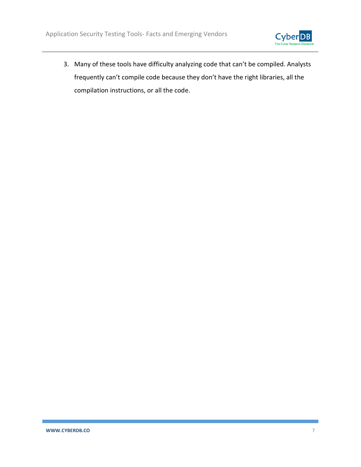

3. Many of these tools have difficulty analyzing code that can't be compiled. Analysts frequently can't compile code because they don't have the right libraries, all the compilation instructions, or all the code.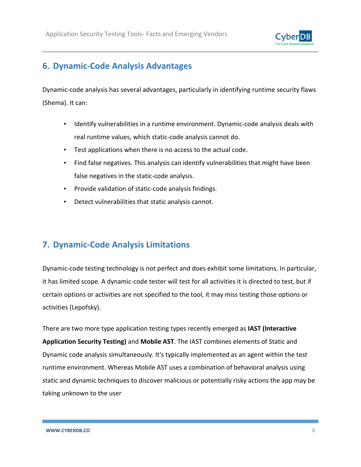

## <span id="page-8-0"></span>**6. Dynamic-Code Analysis Advantages**

Dynamic-code analysis has several advantages, particularly in identifying runtime security flaws (Shema). It can:

- Identify vulnerabilities in a runtime environment. Dynamic-code analysis deals with real runtime values, which static-code analysis cannot do.
- Test applications when there is no access to the actual code.
- Find false negatives*.* This analysis can identify vulnerabilities that might have been false negatives in the static-code analysis.
- Provide validation of static-code analysis findings.
- Detect vulnerabilities that static analysis cannot.

#### <span id="page-8-1"></span>**7. Dynamic-Code Analysis Limitations**

Dynamic-code testing technology is not perfect and does exhibit some limitations. In particular, it has limited scope. A dynamic-code tester will test for all activities it is directed to test, but if certain options or activities are not specified to the tool, it may miss testing those options or activities (Lepofsky).

There are two more type application testing types recently emerged as **IAST (Interactive Application Security Testing)** and **Mobile AST**. The IAST combines elements of Static and Dynamic code analysis simultaneously. It's typically implemented as an agent within the test runtime environment. Whereas Mobile AST uses a combination of behavioral analysis using static and dynamic techniques to discover malicious or potentially risky actions the app may be taking unknown to the user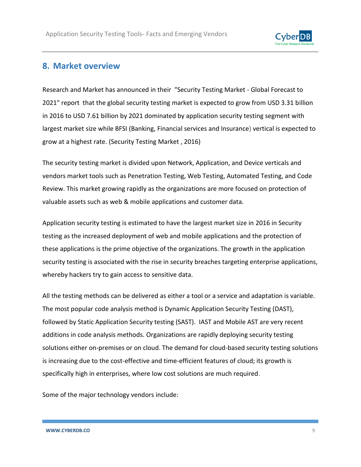

#### <span id="page-9-0"></span>**8. Market overview**

Research and Market has announced in their ["Security Testing Market -](http://www.researchandmarkets.com/research/pj3fsh/security_testing) Global Forecast to [2021"](http://www.researchandmarkets.com/research/pj3fsh/security_testing) report that the global security testing market is expected to grow from USD 3.31 billion in 2016 to USD 7.61 billion by 2021 dominated by application security testing segment with largest market size while BFSI (Banking, Financial services and Insurance) vertical is expected to grow at a highest rate. (Security Testing Market , 2016)

The security testing market is divided upon Network, Application, and Device verticals and vendors market tools such as Penetration Testing, Web Testing, Automated Testing, and Code Review. This market growing rapidly as the organizations are more focused on protection of valuable assets such as web & mobile applications and customer data.

Application security testing is estimated to have the largest market size in 2016 in Security testing as the increased deployment of web and mobile applications and the protection of these applications is the prime objective of the organizations. The growth in the application security testing is associated with the rise in security breaches targeting enterprise applications, whereby hackers try to gain access to sensitive data.

All the testing methods can be delivered as either a tool or a service and adaptation is variable. The most popular code analysis method is Dynamic Application Security Testing (DAST), followed by Static Application Security testing (SAST). IAST and Mobile AST are very recent additions in code analysis methods. Organizations are rapidly deploying security testing solutions either on-premises or on cloud. The demand for cloud-based security testing solutions is increasing due to the cost-effective and time-efficient features of cloud; its growth is specifically high in enterprises, where low cost solutions are much required.

Some of the major technology vendors include: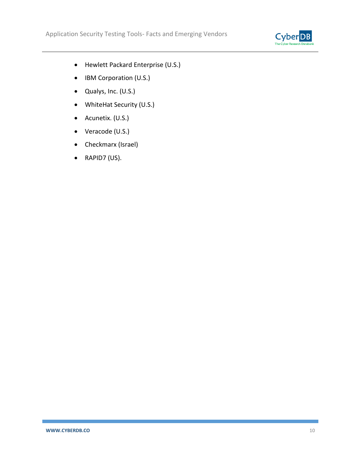

- Hewlett Packard Enterprise (U.S.)
- IBM Corporation (U.S.)
- Qualys, Inc. (U.S.)
- WhiteHat Security (U.S.)
- Acunetix. (U.S.)
- Veracode (U.S.)
- Checkmarx (Israel)
- RAPID7 (US).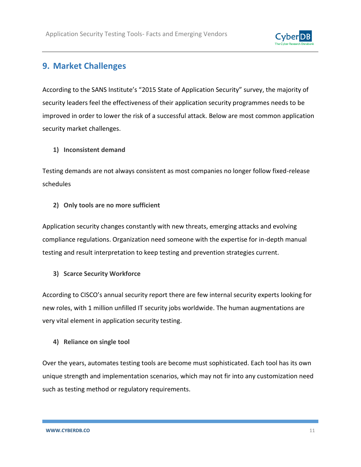

### <span id="page-11-0"></span>**9. Market Challenges**

According to the SANS Institute's "[2015 State of Application Security](http://www.sans.org/reading-room/whitepapers/analyst/2015-state-application-security-closing-gap-35942)" survey, the majority of security leaders feel the effectiveness of their application security programmes needs to be improved in order to lower the risk of a successful attack. Below are most common application security market challenges.

#### **1) Inconsistent demand**

Testing demands are not always consistent as most companies no longer follow fixed-release schedules

#### **2) Only tools are no more sufficient**

Application security changes constantly with new threats, emerging attacks and evolving compliance regulations. Organization need someone with the expertise for in-depth manual testing and result interpretation to keep testing and prevention strategies current.

#### **3) Scarce Security Workforce**

According to CISCO's annual security report there are few internal security experts looking for new roles, with 1 million unfilled IT security jobs worldwide. The human augmentations are very vital element in application security testing.

#### **4) Reliance on single tool**

Over the years, automates testing tools are become must sophisticated. Each tool has its own unique strength and implementation scenarios, which may not fir into any customization need such as testing method or regulatory requirements.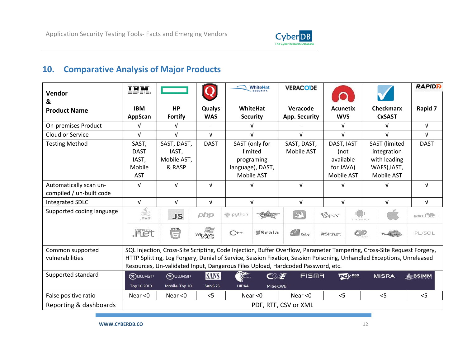

## **10. Comparative Analysis of Major Products**

<span id="page-12-0"></span>

| Vendor<br>&                                                                                                                                                                                                                                                                                                                                                               | IBM                  |                      |                         | WhiteHat         |                  | <b>VERACODE</b>          |                 |                      | <b>RAPIDD</b>    |
|---------------------------------------------------------------------------------------------------------------------------------------------------------------------------------------------------------------------------------------------------------------------------------------------------------------------------------------------------------------------------|----------------------|----------------------|-------------------------|------------------|------------------|--------------------------|-----------------|----------------------|------------------|
| <b>Product Name</b>                                                                                                                                                                                                                                                                                                                                                       | <b>IBM</b>           | <b>HP</b>            | Qualys                  | <b>WhiteHat</b>  |                  | Veracode                 | <b>Acunetix</b> | <b>Checkmarx</b>     | Rapid 7          |
|                                                                                                                                                                                                                                                                                                                                                                           | AppScan              | <b>Fortify</b>       | <b>WAS</b>              | <b>Security</b>  |                  | App. Security            | <b>WVS</b>      | <b>CxSAST</b>        |                  |
| <b>On-premises Product</b>                                                                                                                                                                                                                                                                                                                                                | V                    | $\sqrt{ }$           |                         | V                |                  |                          | V               | $\sqrt{ }$           | $\sqrt{ }$       |
| Cloud or Service                                                                                                                                                                                                                                                                                                                                                          | $\sqrt{ }$           | $\sqrt{ }$           | $\sqrt{ }$              | $\sqrt{ }$       |                  | $\sqrt{ }$<br>$\sqrt{ }$ |                 | $\sqrt{ }$           | $\sqrt{ }$       |
| <b>Testing Method</b>                                                                                                                                                                                                                                                                                                                                                     | SAST,                | SAST, DAST,          | <b>DAST</b>             | SAST (only for   |                  | SAST, DAST,              | DAST, IAST      | <b>SAST</b> (limited | <b>DAST</b>      |
|                                                                                                                                                                                                                                                                                                                                                                           | <b>DAST</b>          | IAST,                |                         | limited          |                  | Mobile AST               | (not            | integration          |                  |
|                                                                                                                                                                                                                                                                                                                                                                           | IAST,                | Mobile AST,          |                         | programing       |                  |                          | available       | with leading         |                  |
|                                                                                                                                                                                                                                                                                                                                                                           | Mobile               | & RASP               |                         | language), DAST, |                  |                          | for JAVA)       | WAFS), IAST,         |                  |
|                                                                                                                                                                                                                                                                                                                                                                           | <b>AST</b>           |                      |                         | Mobile AST       |                  |                          | Mobile AST      | Mobile AST           |                  |
| Automatically scan un-                                                                                                                                                                                                                                                                                                                                                    | $\sqrt{ }$           | $\sqrt{ }$           | $\sqrt{ }$              | v                |                  | $\sqrt{ }$               | $\sqrt{ }$      | $\sqrt{ }$           | $\sqrt{ }$       |
| compiled / un-built code                                                                                                                                                                                                                                                                                                                                                  |                      |                      |                         |                  |                  |                          |                 |                      |                  |
| <b>Integrated SDLC</b>                                                                                                                                                                                                                                                                                                                                                    | V                    | $\sqrt{ }$           | $\sqrt{ }$              | $\sqrt{ }$       |                  | $\sqrt{ }$               | $\sqrt{ }$      | $\sqrt{ }$           | $\sqrt{ }$       |
| Supported coding language                                                                                                                                                                                                                                                                                                                                                 | €<br>lava            | <b>JS</b>            | php                     | ep python        |                  | $\overline{\mathscr{L}}$ | <b>A</b> pex    | □<br>CIOFCOD         | perlyg           |
|                                                                                                                                                                                                                                                                                                                                                                           | .net                 | <b>HTML</b><br>$\Xi$ | hF<br>Windows<br>Mobile | $C^{++}$         | <b>Scala</b>     | $R_{\text{l}}$ Ruby      | <b>ASP.net</b>  | $\bigcirc$           | PL/SQL           |
| SQL Injection, Cross-Site Scripting, Code Injection, Buffer Overflow, Parameter Tampering, Cross-Site Request Forgery,<br>Common supported<br>HTTP Splitting, Log Forgery, Denial of Service, Session Fixation, Session Poisoning, Unhandled Exceptions, Unreleased<br>vulnerabilities<br>Resources, Un-validated Input, Dangerous Files Upload, Hardcoded Password, etc. |                      |                      |                         |                  |                  |                          |                 |                      |                  |
| Supported standard                                                                                                                                                                                                                                                                                                                                                        | <b>R</b> OUURSP      | (R) DWASP            | <b>SANS</b>             | SHIPAA           | $C\mathcal{U}$ F | FISMA                    | <b>Dely</b> pss | <b>MISRA</b>         | <b>- A BSIMM</b> |
|                                                                                                                                                                                                                                                                                                                                                                           | Top 10 2013          | Mobile Top 10        | <b>SANS 25</b>          | <b>HIPAA</b>     | Mitre CWE        |                          |                 |                      |                  |
| False positive ratio                                                                                                                                                                                                                                                                                                                                                      | Near $<$ 0           | Near $<$ 0           | < 5                     | Near $<$ 0       |                  | Near $<$ 0               | < 5             | < 5                  | < 5              |
| Reporting & dashboards                                                                                                                                                                                                                                                                                                                                                    | PDF, RTF, CSV or XML |                      |                         |                  |                  |                          |                 |                      |                  |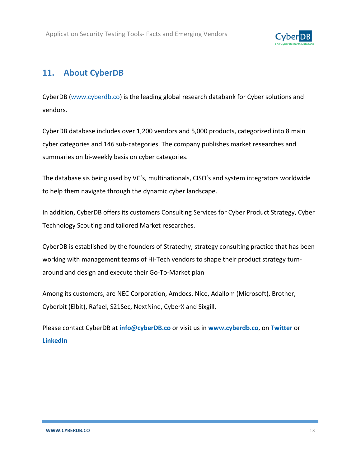

#### <span id="page-13-0"></span>**11. About CyberDB**

CyberDB [\(www.cyberdb.co\)](http://www.cyberdb.co/) is the leading global research databank for Cyber solutions and vendors.

CyberDB database includes over 1,200 vendors and 5,000 products, categorized into 8 main cyber categories and 146 sub-categories. The company publishes market researches and summaries on bi-weekly basis on cyber categories.

The database sis being used by VC's, multinationals, CISO's and system integrators worldwide to help them navigate through the dynamic cyber landscape.

In addition, CyberDB offers its customers Consulting Services for Cyber Product Strategy, Cyber Technology Scouting and tailored Market researches.

CyberDB is established by the founders of Stratechy, strategy consulting practice that has been working with management teams of Hi-Tech vendors to shape their product strategy turnaround and design and execute their Go-To-Market plan

Among its customers, are NEC Corporation, Amdocs, Nice, Adallom (Microsoft), Brother, Cyberbit (Elbit), Rafael, S21Sec, NextNine, CyberX and Sixgill,

Please contact CyberDB at **[info@cyberDB.co](mailto:info@cyberDB.co)** or visit us in **[www.cyberdb.co](http://www.cyberdb.co/)**, on **[Twitter](https://twitter.com/CyberD_B)** or **[LinkedIn](https://www.linkedin.com/company/cyberdb)**